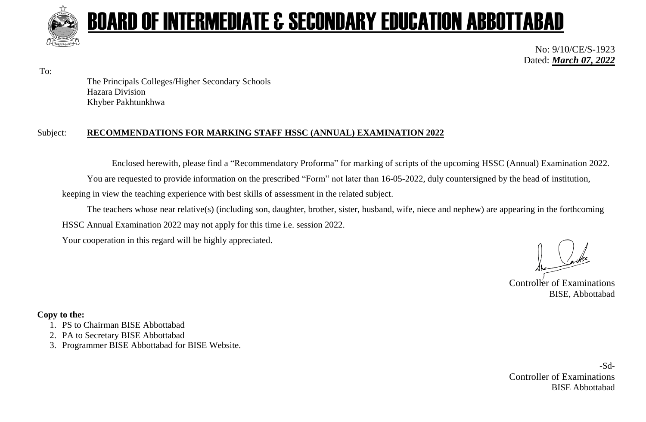

# BOARD OF INTERMEDIATE & SECONDARY EDUCATION ABBOTTABAD

No: 9/10/CE/S-1923 Dated: *March 07, 2022*

To:

The Principals Colleges/Higher Secondary Schools Hazara Division Khyber Pakhtunkhwa

### Subject: **RECOMMENDATIONS FOR MARKING STAFF HSSC (ANNUAL) EXAMINATION 2022**

Enclosed herewith, please find a "Recommendatory Proforma" for marking of scripts of the upcoming HSSC (Annual) Examination 2022. You are requested to provide information on the prescribed "Form" not later than 16-05-2022, duly countersigned by the head of institution, keeping in view the teaching experience with best skills of assessment in the related subject.

The teachers whose near relative(s) (including son, daughter, brother, sister, husband, wife, niece and nephew) are appearing in the forthcoming HSSC Annual Examination 2022 may not apply for this time i.e. session 2022.

Your cooperation in this regard will be highly appreciated.

Controller of Examinations BISE, Abbottabad

# **Copy to the:**

- 1. PS to Chairman BISE Abbottabad
- 2. PA to Secretary BISE Abbottabad
- 3. Programmer BISE Abbottabad for BISE Website.

-Sd-Controller of Examinations BISE Abbottabad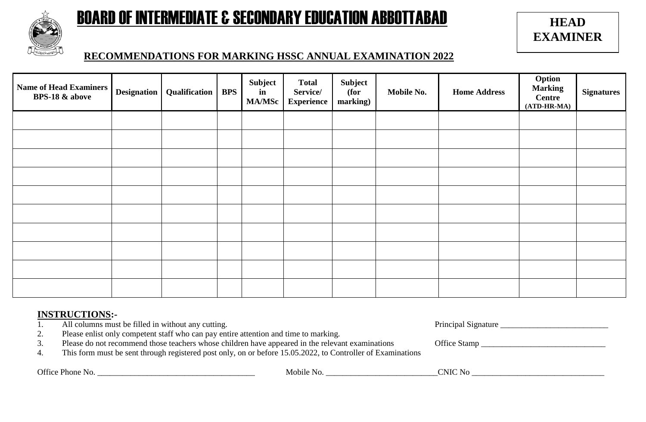

# BOARD OF INTERMEDIATE & SECONDARY EDUCATION ABBOTTABAD

**HEAD EXAMINER**

# **RECOMMENDATIONS FOR MARKING HSSC ANNUAL EXAMINATION 2022**

| <b>Name of Head Examiners</b><br><b>BPS-18 &amp; above</b> | <b>Designation</b> | <b>Qualification</b> | <b>BPS</b> | Subject<br>in<br><b>MA/MSc</b> | <b>Total</b><br>Service/<br><b>Experience</b> | Subject<br>(for<br>marking) | Mobile No. | <b>Home Address</b> | <b>Option</b><br>Marking<br><b>Centre</b><br>$(ATD-HR-MA)$ | <b>Signatures</b> |
|------------------------------------------------------------|--------------------|----------------------|------------|--------------------------------|-----------------------------------------------|-----------------------------|------------|---------------------|------------------------------------------------------------|-------------------|
|                                                            |                    |                      |            |                                |                                               |                             |            |                     |                                                            |                   |
|                                                            |                    |                      |            |                                |                                               |                             |            |                     |                                                            |                   |
|                                                            |                    |                      |            |                                |                                               |                             |            |                     |                                                            |                   |
|                                                            |                    |                      |            |                                |                                               |                             |            |                     |                                                            |                   |
|                                                            |                    |                      |            |                                |                                               |                             |            |                     |                                                            |                   |
|                                                            |                    |                      |            |                                |                                               |                             |            |                     |                                                            |                   |
|                                                            |                    |                      |            |                                |                                               |                             |            |                     |                                                            |                   |
|                                                            |                    |                      |            |                                |                                               |                             |            |                     |                                                            |                   |
|                                                            |                    |                      |            |                                |                                               |                             |            |                     |                                                            |                   |
|                                                            |                    |                      |            |                                |                                               |                             |            |                     |                                                            |                   |

# **INSTRUCTIONS:-**

1. All columns must be filled in without any cutting. The example of the principal Signature and Principal Signature  $\Gamma$ 

| rincipal Signature |  |
|--------------------|--|
|                    |  |

- 2. Please enlist only competent staff who can pay entire attention and time to marking.
- 3. Please do not recommend those teachers whose children have appeared in the relevant examinations Office Stamp \_\_\_\_\_\_\_\_\_\_\_\_\_\_\_\_\_\_\_\_\_\_\_\_\_\_\_\_\_\_
- 4. This form must be sent through registered post only, on or before 15.05.2022, to Controller of Examinations

Office Phone No. \_\_\_\_\_\_\_\_\_\_\_\_\_\_\_\_\_\_\_\_\_\_\_\_\_\_\_\_\_\_\_\_\_\_\_\_\_\_ Mobile No. \_\_\_\_\_\_\_\_\_\_\_\_\_\_\_\_\_\_\_\_\_\_\_\_\_\_\_CNIC No \_\_\_\_\_\_\_\_\_\_\_\_\_\_\_\_\_\_\_\_\_\_\_\_\_\_\_\_\_\_\_\_